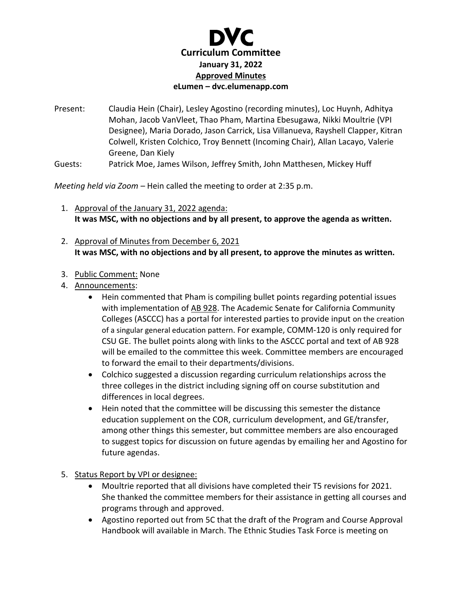

Present: Claudia Hein (Chair), Lesley Agostino (recording minutes), Loc Huynh, Adhitya Mohan, Jacob VanVleet, Thao Pham, Martina Ebesugawa, Nikki Moultrie (VPI Designee), Maria Dorado, Jason Carrick, Lisa Villanueva, Rayshell Clapper, Kitran Colwell, Kristen Colchico, Troy Bennett (Incoming Chair), Allan Lacayo, Valerie Greene, Dan Kiely

Guests: Patrick Moe, James Wilson, Jeffrey Smith, John Matthesen, Mickey Huff

*Meeting held via Zoom –* Hein called the meeting to order at 2:35 p.m.

- 1. Approval of the January 31, 2022 agenda: **It was MSC, with no objections and by all present, to approve the agenda as written.**
- 2. Approval of Minutes from December 6, 2021 **It was MSC, with no objections and by all present, to approve the minutes as written.**
- 3. Public Comment: None
- 4. Announcements:
	- Hein commented that Pham is compiling bullet points regarding potential issues with implementation of [AB 928.](https://leginfo.legislature.ca.gov/faces/billNavClient.xhtml?bill_id=202120220AB928) The Academic Senate for California Community Colleges (ASCCC) has a portal for interested parties to provide input on the creation of a singular general education pattern. For example, COMM-120 is only required for CSU GE. The bullet points along with links to the ASCCC portal and text of AB 928 will be emailed to the committee this week. Committee members are encouraged to forward the email to their departments/divisions.
	- Colchico suggested a discussion regarding curriculum relationships across the three colleges in the district including signing off on course substitution and differences in local degrees.
	- Hein noted that the committee will be discussing this semester the distance education supplement on the COR, curriculum development, and GE/transfer, among other things this semester, but committee members are also encouraged to suggest topics for discussion on future agendas by emailing her and Agostino for future agendas.
- 5. Status Report by VPI or designee:
	- Moultrie reported that all divisions have completed their T5 revisions for 2021. She thanked the committee members for their assistance in getting all courses and programs through and approved.
	- Agostino reported out from 5C that the draft of the Program and Course Approval Handbook will available in March. The Ethnic Studies Task Force is meeting on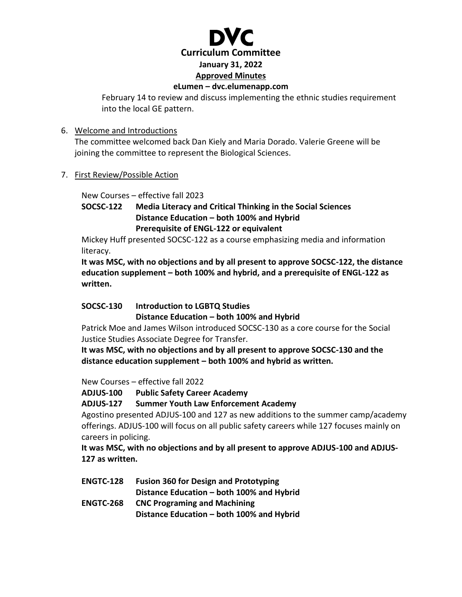

#### **eLumen – dvc.elumenapp.com**

February 14 to review and discuss implementing the ethnic studies requirement into the local GE pattern.

## 6. Welcome and Introductions

The committee welcomed back Dan Kiely and Maria Dorado. Valerie Greene will be joining the committee to represent the Biological Sciences.

## 7. First Review/Possible Action

New Courses – effective fall 2023

# **SOCSC-122 Media Literacy and Critical Thinking in the Social Sciences Distance Education – both 100% and Hybrid Prerequisite of ENGL-122 or equivalent**

Mickey Huff presented SOCSC-122 as a course emphasizing media and information literacy.

**It was MSC, with no objections and by all present to approve SOCSC-122, the distance education supplement – both 100% and hybrid, and a prerequisite of ENGL-122 as written.**

# **SOCSC-130 Introduction to LGBTQ Studies**

**Distance Education – both 100% and Hybrid**

Patrick Moe and James Wilson introduced SOCSC-130 as a core course for the Social Justice Studies Associate Degree for Transfer.

**It was MSC, with no objections and by all present to approve SOCSC-130 and the distance education supplement – both 100% and hybrid as written.**

New Courses – effective fall 2022

**ADJUS-100 Public Safety Career Academy**

**ADJUS-127 Summer Youth Law Enforcement Academy**

Agostino presented ADJUS-100 and 127 as new additions to the summer camp/academy offerings. ADJUS-100 will focus on all public safety careers while 127 focuses mainly on careers in policing.

**It was MSC, with no objections and by all present to approve ADJUS-100 and ADJUS-127 as written.** 

**ENGTC-128 Fusion 360 for Design and Prototyping Distance Education – both 100% and Hybrid ENGTC-268 CNC Programing and Machining**

**Distance Education – both 100% and Hybrid**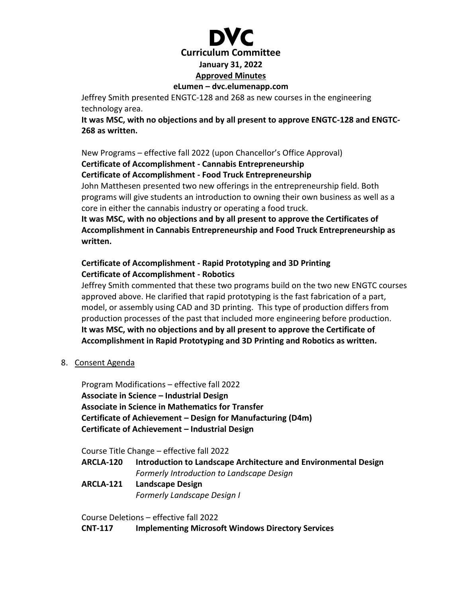

#### **eLumen – dvc.elumenapp.com**

Jeffrey Smith presented ENGTC-128 and 268 as new courses in the engineering technology area.

**It was MSC, with no objections and by all present to approve ENGTC-128 and ENGTC-268 as written.** 

New Programs – effective fall 2022 (upon Chancellor's Office Approval) **Certificate of Accomplishment - Cannabis Entrepreneurship Certificate of Accomplishment - Food Truck Entrepreneurship** John Matthesen presented two new offerings in the entrepreneurship field. Both

programs will give students an introduction to owning their own business as well as a core in either the cannabis industry or operating a food truck.

**It was MSC, with no objections and by all present to approve the Certificates of Accomplishment in Cannabis Entrepreneurship and Food Truck Entrepreneurship as written.**

# **Certificate of Accomplishment - Rapid Prototyping and 3D Printing Certificate of Accomplishment - Robotics**

Jeffrey Smith commented that these two programs build on the two new ENGTC courses approved above. He clarified that rapid prototyping is the fast fabrication of a part, model, or assembly using CAD and 3D printing. This type of production differs from production processes of the past that included more engineering before production. **It was MSC, with no objections and by all present to approve the Certificate of Accomplishment in Rapid Prototyping and 3D Printing and Robotics as written.** 

8. Consent Agenda

Program Modifications – effective fall 2022 **Associate in Science – Industrial Design Associate in Science in Mathematics for Transfer Certificate of Achievement – Design for Manufacturing (D4m) Certificate of Achievement – Industrial Design**

Course Title Change – effective fall 2022

- **ARCLA-120 Introduction to Landscape Architecture and Environmental Design** *Formerly Introduction to Landscape Design*
- **ARCLA-121 Landscape Design** *Formerly Landscape Design I*

Course Deletions – effective fall 2022

**CNT-117 Implementing Microsoft Windows Directory Services**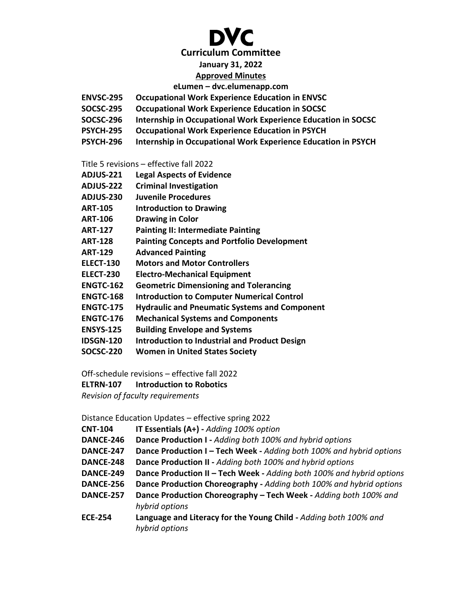# **Curriculum Committee**

### **January 31, 2022**

# **Approved Minutes**

#### **eLumen – dvc.elumenapp.com**

- **ENVSC-295 Occupational Work Experience Education in ENVSC**
- **SOCSC-295 Occupational Work Experience Education in SOCSC**
- **SOCSC-296 Internship in Occupational Work Experience Education in SOCSC**
- **PSYCH-295 Occupational Work Experience Education in PSYCH**
- **PSYCH-296 Internship in Occupational Work Experience Education in PSYCH**

Title 5 revisions – effective fall 2022

- **ADJUS-221 Legal Aspects of Evidence**
- **ADJUS-222 Criminal Investigation**
- **ADJUS-230 Juvenile Procedures**
- **ART-105 Introduction to Drawing**
- **ART-106 Drawing in Color**
- **ART-127 Painting II: Intermediate Painting**
- **ART-128 Painting Concepts and Portfolio Development**
- **ART-129 Advanced Painting**
- **ELECT-130 Motors and Motor Controllers**
- **ELECT-230 Electro-Mechanical Equipment**
- **ENGTC-162 Geometric Dimensioning and Tolerancing**
- **ENGTC-168 Introduction to Computer Numerical Control**
- **ENGTC-175 Hydraulic and Pneumatic Systems and Component**
- **ENGTC-176 Mechanical Systems and Components**
- **ENSYS-125 Building Envelope and Systems**
- **IDSGN-120 Introduction to Industrial and Product Design**
- **SOCSC-220 Women in United States Society**

Off-schedule revisions – effective fall 2022

**ELTRN-107 Introduction to Robotics**

*Revision of faculty requirements*

Distance Education Updates – effective spring 2022

| IT Essentials (A+) - Adding 100% option<br><b>CNT-104</b> |  |  |  |
|-----------------------------------------------------------|--|--|--|
|-----------------------------------------------------------|--|--|--|

- **DANCE-246 Dance Production I -** *Adding both 100% and hybrid options*
- **DANCE-247 Dance Production I – Tech Week -** *Adding both 100% and hybrid options*
- **DANCE-248 Dance Production II -** *Adding both 100% and hybrid options*
- **DANCE-249 Dance Production II – Tech Week -** *Adding both 100% and hybrid options*
- **DANCE-256 Dance Production Choreography -** *Adding both 100% and hybrid options*
- **DANCE-257 Dance Production Choreography – Tech Week -** *Adding both 100% and hybrid options*
- **ECE-254 Language and Literacy for the Young Child -** *Adding both 100% and hybrid options*